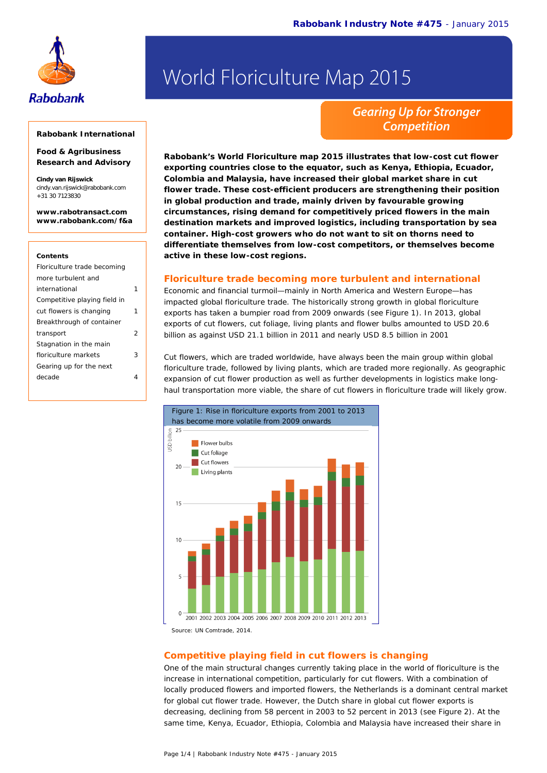

### *Rabobank International*

**Food & Agribusiness Research and Advisory**

**Cindy van Rijswick** cindy.van.rijswick@rabobank.com +31 30 7123830

**www.rabotransact.com www.rabobank.com/f&a**

## **Contents**

| Floriculture trade becoming  |   |
|------------------------------|---|
| more turbulent and           |   |
| international                | 1 |
| Competitive playing field in |   |
| cut flowers is changing      | 1 |
| Breakthrough of container    |   |
| transport                    | 2 |
| Stagnation in the main       |   |
| floriculture markets         | 3 |
| Gearing up for the next      |   |
| decade                       |   |
|                              |   |

# World Floriculture Map 2015

*Gearing Up for Stronger Competition*

**Rabobank's World Floriculture map 2015 illustrates that low-cost cut flower exporting countries close to the equator, such as Kenya, Ethiopia, Ecuador, Colombia and Malaysia, have increased their global market share in cut flower trade. These cost-efficient producers are strengthening their position in global production and trade, mainly driven by favourable growing circumstances, rising demand for competitively priced flowers in the main destination markets and improved logistics, including transportation by sea container. High-cost growers who do not want to sit on thorns need to differentiate themselves from low-cost competitors, or themselves become active in these low-cost regions.** 

## **Floriculture trade becoming more turbulent and international**

Economic and financial turmoil—mainly in North America and Western Europe—has impacted global floriculture trade. The historically strong growth in global floriculture exports has taken a bumpier road from 2009 onwards (*see Figure 1*). In 2013, global exports of cut flowers, cut foliage, living plants and flower bulbs amounted to USD 20.6 billion as against USD 21.1 billion in 2011 and nearly USD 8.5 billion in 2001

Cut flowers, which are traded worldwide, have always been the main group within global floriculture trade, followed by living plants, which are traded more regionally. As geographic expansion of cut flower production as well as further developments in logistics make longhaul transportation more viable, the share of cut flowers in floriculture trade will likely grow.



Source: UN Comtrade, 2014.

# **Competitive playing field in cut flowers is changing**

One of the main structural changes currently taking place in the world of floriculture is the increase in international competition, particularly for cut flowers. With a combination of locally produced flowers and imported flowers, the Netherlands is a dominant central market for global cut flower trade. However, the Dutch share in global cut flower exports is decreasing, declining from 58 percent in 2003 to 52 percent in 2013 (*see Figure 2*). At the same time, Kenya, Ecuador, Ethiopia, Colombia and Malaysia have increased their share in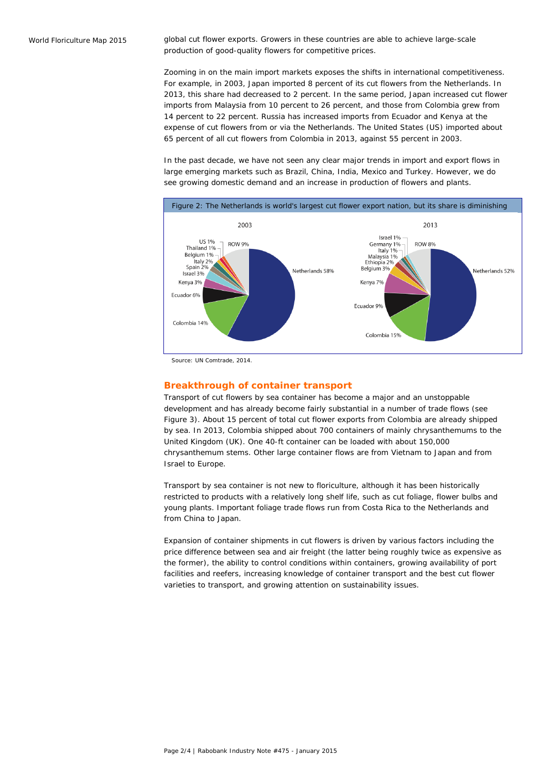World Floriculture Map 2015 global cut flower exports. Growers in these countries are able to achieve large-scale production of good-quality flowers for competitive prices.

> Zooming in on the main import markets exposes the shifts in international competitiveness. For example, in 2003, Japan imported 8 percent of its cut flowers from the Netherlands. In 2013, this share had decreased to 2 percent. In the same period, Japan increased cut flower imports from Malaysia from 10 percent to 26 percent, and those from Colombia grew from 14 percent to 22 percent. Russia has increased imports from Ecuador and Kenya at the expense of cut flowers from or via the Netherlands. The United States (US) imported about 65 percent of all cut flowers from Colombia in 2013, against 55 percent in 2003.

In the past decade, we have not seen any clear major trends in import and export flows in large emerging markets such as Brazil, China, India, Mexico and Turkey. However, we do see growing domestic demand and an increase in production of flowers and plants.



Source: UN Comtrade, 2014.

#### **Breakthrough of container transport**

Transport of cut flowers by sea container has become a major and an unstoppable development and has already become fairly substantial in a number of trade flows (*see Figure 3*). About 15 percent of total cut flower exports from Colombia are already shipped by sea. In 2013, Colombia shipped about 700 containers of mainly chrysanthemums to the United Kingdom (UK). One 40-ft container can be loaded with about 150,000 chrysanthemum stems. Other large container flows are from Vietnam to Japan and from Israel to Europe.

Transport by sea container is not new to floriculture, although it has been historically restricted to products with a relatively long shelf life, such as cut foliage, flower bulbs and young plants. Important foliage trade flows run from Costa Rica to the Netherlands and from China to Japan.

Expansion of container shipments in cut flowers is driven by various factors including the price difference between sea and air freight (the latter being roughly twice as expensive as the former), the ability to control conditions within containers, growing availability of port facilities and reefers, increasing knowledge of container transport and the best cut flower varieties to transport, and growing attention on sustainability issues.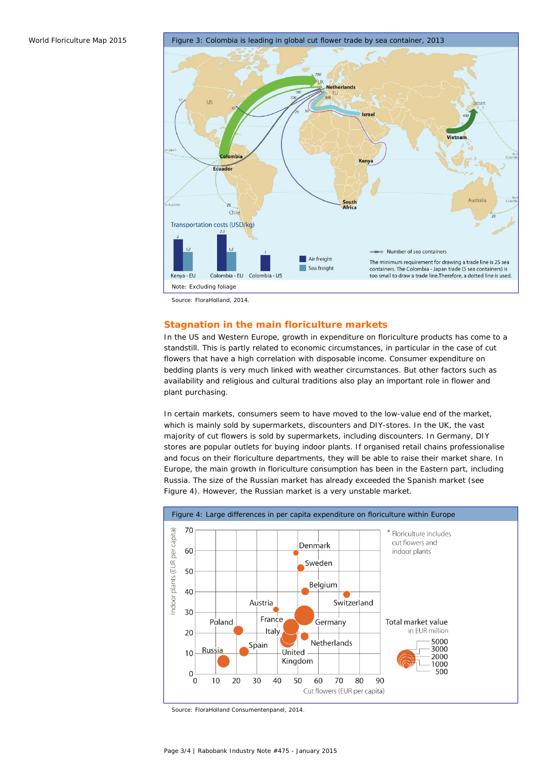

Source: FloraHolland, 2014.

## **Stagnation in the main floriculture markets**

In the US and Western Europe, growth in expenditure on floriculture products has come to a standstill. This is partly related to economic circumstances, in particular in the case of cut flowers that have a high correlation with disposable income. Consumer expenditure on bedding plants is very much linked with weather circumstances. But other factors such as availability and religious and cultural traditions also play an important role in flower and plant purchasing.

In certain markets, consumers seem to have moved to the low-value end of the market, which is mainly sold by supermarkets, discounters and DIY-stores. In the UK, the vast majority of cut flowers is sold by supermarkets, including discounters. In Germany, DIY stores are popular outlets for buying indoor plants. If organised retail chains professionalise and focus on their floriculture departments, they will be able to raise their market share. In Europe, the main growth in floriculture consumption has been in the Eastern part, including Russia. The size of the Russian market has already exceeded the Spanish market (*see Figure 4*). However, the Russian market is a very unstable market.